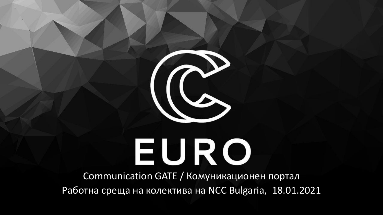

# EURO

Communication GATE / Комуникационен портал Работна среща на колектива на NCC Bulgaria, 18.01.2021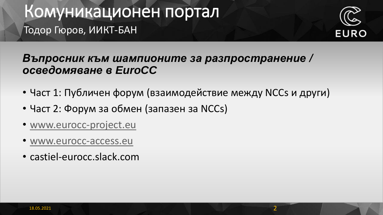### Комуникационен портал Тодор Гюров, ИИКТ-БАН



### *Въпросник към шампионите за разпространение / осведомяване в EuroCC*

- Част 1: Публичен форум (взаимодействие между NCCs и други)
- Част 2: Форум за обмен (запазен за NCCs)
- [www.eurocc-project.eu](http://www.eurocc-project.eu/)
- [www.eurocc-access.eu](http://www.eurocc-access.eu/)
- castiel-eurocc.slack.com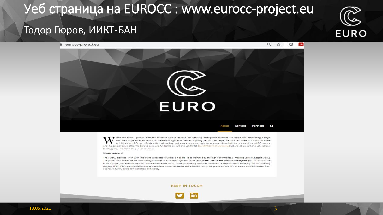### Уеб страница на EUROCC : www.eurocc-project.eu

# **EURO**

### Тодор Гюров, ИИКТ-БАН

eurocc-project.eu



thin the EuroCC project under the European Union's Horizon 2020 (H2020), participating countries are tasked with establishing a single National Competence Centre (NCC) in the area of high-performance computing (HPC) in their respective countries. These NCCs will coordinate activities in all HPC-related fields at the national level and serve as a contact point for customers from industry, science, (future) HPC experts, and the general public alike. The EuroCC project is funded 50 percent through H2020 (EuroHPC Joint Undertaking [JU]) and 50 percent through national funding programs within the partner countries.

### Who is on board?

The EuroCC activities-with 33 member and associated countries on board-is coordinated by the High-Performance Computing Center Stuttgart (HLRS). The project aims to elevate the participating countries to a common high level in the fields of HPC, HPDA and artificial intelligence (AI). To this end, the EuroCC project will establish National Competence Centres (NCCs) in the participating countries, which will be responsible for surveying and documenting the core HPC, HPDA, and AI activities and competencies in their respective countries. Ultimately, the goal is to make HPC available to different users from science, industry, public administration, and society.

### **KEEP IN TOUCH**

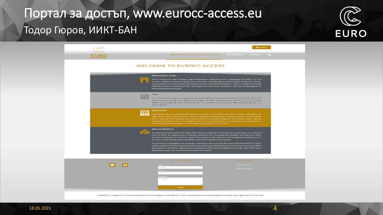### Портал за достъп, www.eurocc-access.eu Тодор Гюров, ИИКТ-БАН



|                                 | WELCOME TO EUROCC ACCESS TRAININGS FORUM                                                                                                                                                                                                                                                                                                                                                                                                                                                                                                                                                                                                                                                                                                                        | E o I |
|---------------------------------|-----------------------------------------------------------------------------------------------------------------------------------------------------------------------------------------------------------------------------------------------------------------------------------------------------------------------------------------------------------------------------------------------------------------------------------------------------------------------------------------------------------------------------------------------------------------------------------------------------------------------------------------------------------------------------------------------------------------------------------------------------------------|-------|
|                                 | <b>WELCOME TO EUROCC ACCESS</b>                                                                                                                                                                                                                                                                                                                                                                                                                                                                                                                                                                                                                                                                                                                                 |       |
|                                 | <b>Behind EuroCC Access</b><br>With funding from the European High-Performance Computing Joint Undertaking (EuroHPC JU), the<br>EuroCC project will achieve its goals within bito years. Considering its ambitious aims, the EuroCC project<br>is supported by the Coordination and Support Action (CSA) CASTIEL project in order to bridge the existing<br>High-Performance Computing (HPC) skills gaps and to promote cooperation and the implementation of<br>best practices across Europe.                                                                                                                                                                                                                                                                  |       |
| <b>Alerts</b><br>pollaborations | This website aims to give a competence map of the National Competence Centers (NCCa) and their HPO-<br>related activities siong with a place to exchange with other stakeholders. In addition, NCCs will have a<br>space to exchange between themselves for any related topics, such as best practices, guides and                                                                                                                                                                                                                                                                                                                                                                                                                                              |       |
| What is HPC?                    | High-Performance Computing is the ability to process massive data and perform complex calculations at<br>high speed to solve large problems in science, engineering and business. A supercomputer is one the best-<br>known types of HPC solutions and enables parallel processing; thousands of computer nodes working<br>together to complete one or more tasks for simulation and calculation; in comparison one should combine.<br>thousands of typical computers working together to achieve similar results.                                                                                                                                                                                                                                              |       |
| What are the NCCs?              | A National Competence Center is the reference and single point of contact and coordination on a national<br>level for HPC. Its missions are to analyse, implement and coordinate all necessary activities and offers<br>services to end users to cover their needs: from access to resources, from technological consultancy to the<br>provision of training courses for academia, public administrations and industry.<br>The aim is to bring together the necessary expertise to set up a cross-European network of NCCs in HPC-<br>related topics with 31 participating members and associated states and to provide a broad service portfolio<br>tailored to the respective national needs of academia, public administrations and industry. Each NCC has a |       |



The EURO CC project has received funding from the European Union's Horizon 2020 research and innovation programme under grant agreement No 951740.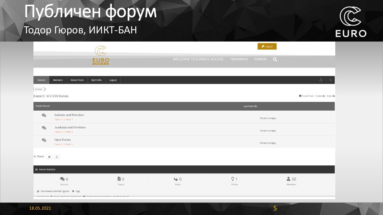## Публичен форум

### Тодор Гюров, ИИКТ-БАН



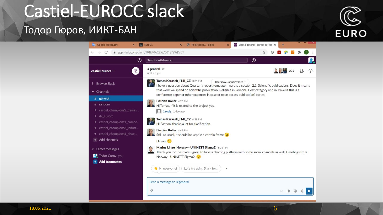### Castiel-EUROCC slack

### Тодор Гюров, ИИКТ-БАН



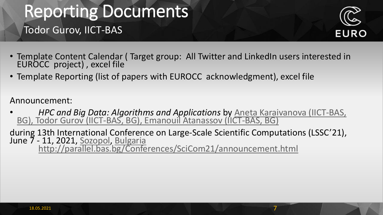### Reporting Documents Todor Gurov, IICT-BAS



- Template Content Calendar ( Target group: All Twitter and LinkedIn users interested in EUROCC project) , excel file
- Template Reporting (list of papers with EUROCC acknowledgment), excel file

Announcement:

- *[HPC and Big Data: Algorithms and Applications](mailto:anet@parallel.bas.bg)* by Aneta Karaivanova (IICT-BAS, BG), Todor Gurov [\(IICT-BAS, BG\),](mailto:gurov@parallel.bas.bg) Emanouil Atanassov [\(IICT-BAS, BG\)](mailto:emanouil@parallel.bas.bg)
- during 13th International Conference on Large-Scale Scientific Computations (LSSC'21), June 7 - 11, 2021, [Sozopol](http://www.beachbulgaria.com/sozopol/), [Bulgaria](http://bulgariatravel.org/) <http://parallel.bas.bg/Conferences/SciCom21/announcement.html>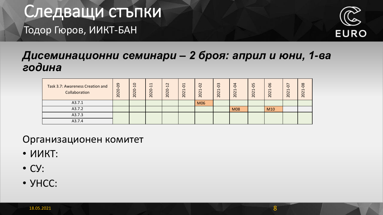### Следващи стъпки Тодор Гюров, ИИКТ-БАН



### *Дисеминационни семинари – 2 броя: април и юни, 1-ва година*

| Task 3.7: Awareness Creation and<br>Collaboration | $\overline{6}$<br>2020 | $\circ$<br>$\overline{\phantom{0}}$<br>C<br>$\sim$<br>O<br>$\sim$ | $\overline{\phantom{0}}$<br>$\overline{\phantom{0}}$<br>$\circ$<br>$\sim$<br>$\circ$<br>$\sim$ | 12<br>$\circ$<br>202 | $\overline{\phantom{0}}$<br>$\circ$<br>$\overline{\phantom{0}}$<br>$\sim$<br>0<br>$\sim$ | $\Omega$<br>$\overline{\phantom{0}}$<br>202 | 0 <sup>3</sup><br>$\mathbf{\mathbf{\mathsf{\mathbf{\mathsf{H}}}}}$<br>202 | 4<br>Ò<br>$\mathbf{\Omega}$<br>$\circ$<br>$\sim$ | 80<br>$\blacksquare$<br>$\Omega$<br>$\sim$ | 66<br>$\blacksquare$<br>$\sim$<br>20 | G<br>$\overline{\phantom{0}}$<br>$\sim$<br>$\circ$<br>$\sim$ | 8 <sup>o</sup><br>ᆏ<br>202 |
|---------------------------------------------------|------------------------|-------------------------------------------------------------------|------------------------------------------------------------------------------------------------|----------------------|------------------------------------------------------------------------------------------|---------------------------------------------|---------------------------------------------------------------------------|--------------------------------------------------|--------------------------------------------|--------------------------------------|--------------------------------------------------------------|----------------------------|
| A3.7.1                                            |                        |                                                                   |                                                                                                |                      |                                                                                          | M06                                         |                                                                           |                                                  |                                            |                                      |                                                              |                            |
| A3.7.2                                            |                        |                                                                   |                                                                                                |                      |                                                                                          |                                             |                                                                           | <b>M08</b>                                       |                                            | M <sub>10</sub>                      |                                                              |                            |
| A3.7.3                                            |                        |                                                                   |                                                                                                |                      |                                                                                          |                                             |                                                                           |                                                  |                                            |                                      |                                                              |                            |
| A3.7.4                                            |                        |                                                                   |                                                                                                |                      |                                                                                          |                                             |                                                                           |                                                  |                                            |                                      |                                                              |                            |

Организационен комитет

- ИИКТ:
- СУ:
- УНСС: